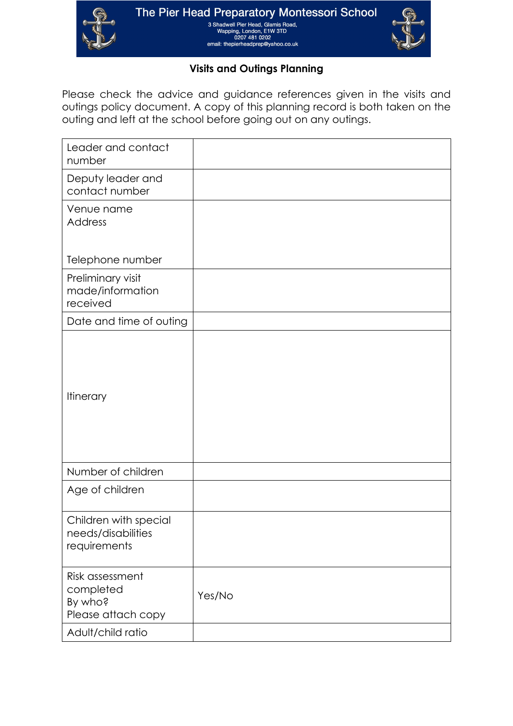



## **Visits and Outings Planning**

Please check the advice and guidance references given in the visits and outings policy document. A copy of this planning record is both taken on the outing and left at the school before going out on any outings.

| Leader and contact<br>number                                  |        |
|---------------------------------------------------------------|--------|
| Deputy leader and<br>contact number                           |        |
| Venue name<br><b>Address</b>                                  |        |
| Telephone number                                              |        |
| Preliminary visit<br>made/information<br>received             |        |
| Date and time of outing                                       |        |
| <b>Itinerary</b>                                              |        |
| Number of children                                            |        |
| Age of children                                               |        |
| Children with special<br>needs/disabilities<br>requirements   |        |
| Risk assessment<br>completed<br>By who?<br>Please attach copy | Yes/No |
| Adult/child ratio                                             |        |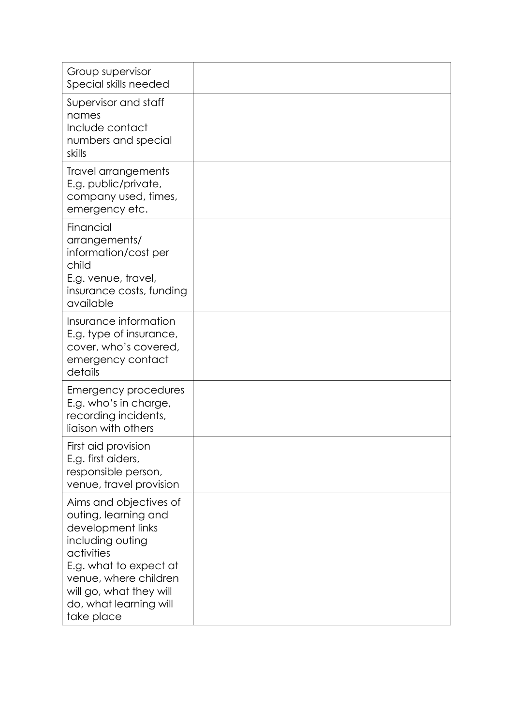| Group supervisor<br>Special skills needed                                                                                                                                                                                   |  |
|-----------------------------------------------------------------------------------------------------------------------------------------------------------------------------------------------------------------------------|--|
| Supervisor and staff<br>names<br>Include contact<br>numbers and special<br>skills                                                                                                                                           |  |
| Travel arrangements<br>E.g. public/private,<br>company used, times,<br>emergency etc.                                                                                                                                       |  |
| Financial<br>arrangements/<br>information/cost per<br>child<br>E.g. venue, travel,<br>insurance costs, funding<br>available                                                                                                 |  |
| Insurance information<br>E.g. type of insurance,<br>cover, who's covered,<br>emergency contact<br>details                                                                                                                   |  |
| Emergency procedures<br>E.g. who's in charge,<br>recording incidents,<br>liaison with others                                                                                                                                |  |
| First aid provision<br>E.g. first aiders,<br>responsible person,<br>venue, travel provision                                                                                                                                 |  |
| Aims and objectives of<br>outing, learning and<br>development links<br>including outing<br>activities<br>E.g. what to expect at<br>venue, where children<br>will go, what they will<br>do, what learning will<br>take place |  |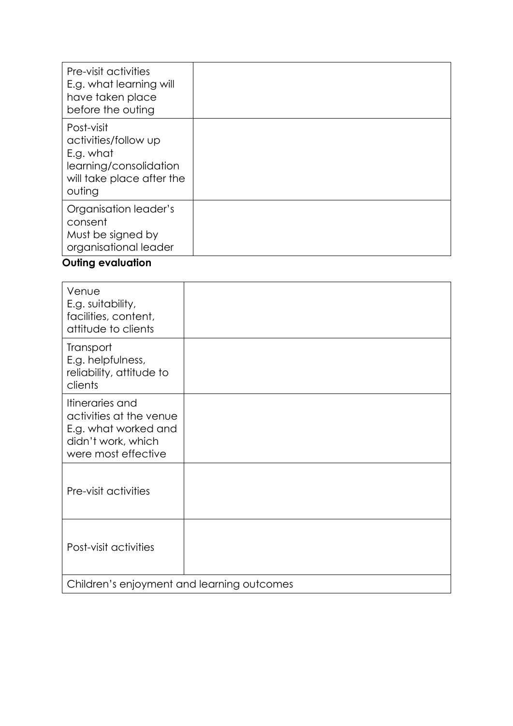| Pre-visit activities<br>E.g. what learning will<br>have taken place<br>before the outing                         |  |
|------------------------------------------------------------------------------------------------------------------|--|
| Post-visit<br>activities/follow up<br>E.g. what<br>learning/consolidation<br>will take place after the<br>outing |  |
| Organisation leader's<br>consent<br>Must be signed by<br>organisational leader                                   |  |

## **Outing evaluation**

| Venue<br>E.g. suitability,<br>facilities, content,<br>attitude to clients                                       |  |  |
|-----------------------------------------------------------------------------------------------------------------|--|--|
| Transport<br>E.g. helpfulness,<br>reliability, attitude to<br>clients                                           |  |  |
| Itineraries and<br>activities at the venue<br>E.g. what worked and<br>didn't work, which<br>were most effective |  |  |
| Pre-visit activities                                                                                            |  |  |
| Post-visit activities                                                                                           |  |  |
| Children's enjoyment and learning outcomes                                                                      |  |  |